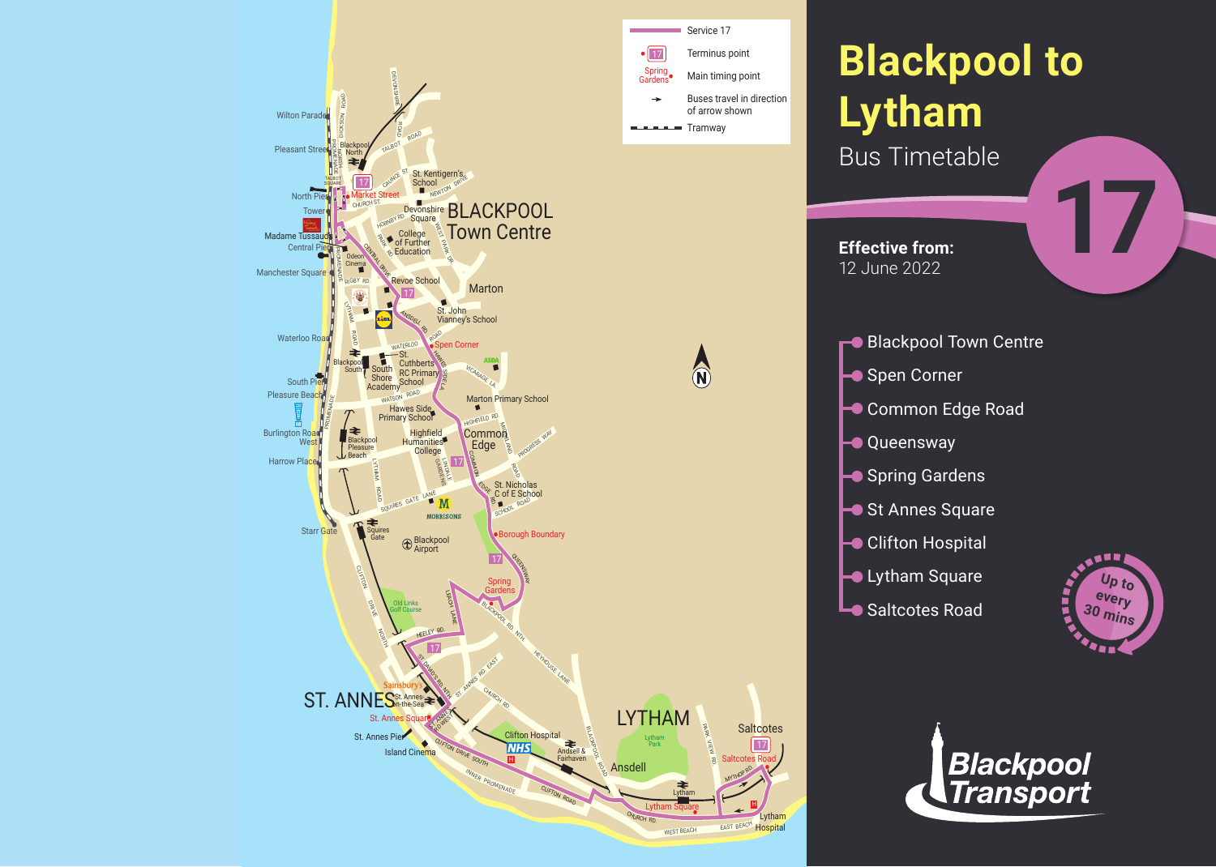



Lytham